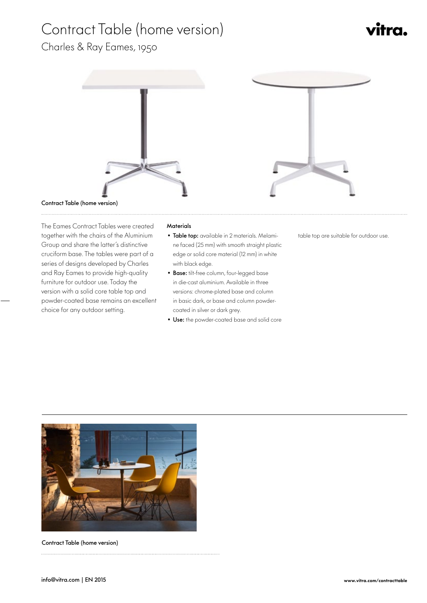## Contract Table (home version)

# vitra.

### Charles & Ray Eames, 1950



 The Eames Contract Tables were created together with the chairs of the Aluminium Group and share the latter's distinctive cruciform base. The tables were part of a series of designs developed by Charles and Ray Eames to provide high-quality furniture for outdoor use. Today the version with a solid core table top and powder-coated base remains an excellent choice for any outdoor setting.

### **Materials**

- Table top: available in 2 materials. Melamine faced (25 mm) with smooth straight plastic edge or solid core material (12 mm) in white with black edge.
- Base: tilt-free column, four-legged base in die-cast aluminium. Available in three versions: chrome-plated base and column in basic dark, or base and column powdercoated in silver or dark grey.
- Use: the powder-coated base and solid core





Contract Table (home version)